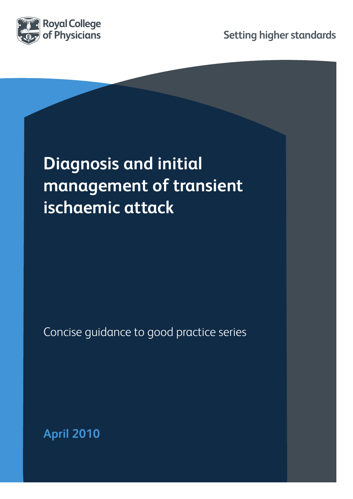

**Setting higher standards**

# **Diagnosis and initial management of transient ischaemic attack**

Concise guidance to good practice series

**April 2010**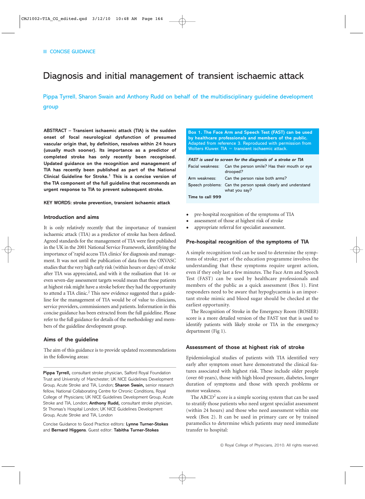## Diagnosis and initial management of transient ischaemic attack

Pippa Tyrrell, Sharon Swain and Anthony Rudd on behalf of the multidisciplinary guideline development group

**ABSTRACT – Transient ischaemic attack (TIA) is the sudden onset of focal neurological dysfunction of presumed vascular origin that, by definition, resolves within 24 hours (usually much sooner). Its importance as a predictor of completed stroke has only recently been recognised. Updated guidance on the recognition and management of TIA has recently been published as part of the National Clinical Guideline for Stroke.1 This is a concise version of the TIA component of the full guideline that recommends an urgent response to TIA to prevent subsequent stroke.** 

#### **KEY WORDS: stroke prevention, transient ischaemic attack**

#### **Introduction and aims**

It is only relatively recently that the importance of transient ischaemic attack (TIA) as a predictor of stroke has been defined. Agreed standards for the management of TIA were first published in the UK in the 2001 National Service Framework, identifying the importance of 'rapid access TIA clinics' for diagnosis and management. It was not until the publication of data from the OXVASC studies that the very high early risk (within hours or days) of stroke after TIA was appreciated, and with it the realisation that 14- or even seven-day assessment targets would mean that those patients at highest risk might have a stroke before they had the opportunity to attend a TIA clinic.<sup>2</sup> This new evidence suggested that a guideline for the management of TIA would be of value to clinicians, service providers, commissioners and patients. Information in this concise guidance has been extracted from the full guideline. Please refer to the full guidance for details of the methodology and members of the guideline development group.

#### **Aims of the guideline**

The aim of this guidance is to provide updated recommendations in the following areas:

**Pippa Tyrrell,** consultant stroke physician, Salford Royal Foundation Trust and University of Manchester; UK NICE Guidelines Development Group, Acute Stroke and TIA, London; **Sharon Swain,** senior research fellow, National Collaborating Centre for Chronic Conditions, Royal College of Physicians; UK NICE Guidelines Development Group, Acute Stroke and TIA, London; **Anthony Rudd,** consultant stroke physician, St Thomas's Hospital London; UK NICE Guidelines Development Group, Acute Stroke and TIA, London

Concise Guidance to Good Practice editors: **Lynne Turner-Stokes** and **Bernard Higgens**. Guest editor: **Tabitha Turner-Stokes**

**Box 1. The Face Arm and Speech Test (FAST) can be used by healthcare professionals and members of the public.** Adapted from reference 3. Reproduced with permission from Wolters Kluwer.  $TIA =$  transient ischaemic attack.

**FAST is used to screen for the diagnosis of a stroke or TIA F**acial weakness: Can the person smile? Has their mouth or eye drooped? **A**rm weakness: Can the person raise both arms? **S**peech problems: Can the person speak clearly and understand what you say? **Time to call 999**

- pre-hospital recognition of the symptoms of TIA
- assessment of those at highest risk of stroke
- appropriate referral for specialist assessment.

#### **Pre-hospital recognition of the symptoms of TIA**

A simple recognition tool can be used to determine the symptoms of stroke; part of the education programme involves the understanding that these symptoms require urgent action, even if they only last a few minutes. The Face Arm and Speech Test (FAST) can be used by healthcare professionals and members of the public as a quick assessment (Box 1). First responders need to be aware that hypoglycaemia is an important stroke mimic and blood sugar should be checked at the earliest opportunity.

The Recognition of Stroke in the Emergency Room (ROSIER) score is a more detailed version of the FAST test that is used to identify patients with likely stroke or TIA in the emergency department (Fig 1).

#### **Assessment of those at highest risk of stroke**

Epidemiological studies of patients with TIA identified very early after symptom onset have demonstrated the clinical features associated with highest risk. These include older people (over 60 years), those with high blood pressure, diabetes, longer duration of symptoms and those with speech problems or motor weakness.

The ABCD<sup>2</sup> score is a simple scoring system that can be used to stratify those patients who need urgent specialist assessment (within 24 hours) and those who need assessment within one week (Box 2). It can be used in primary care or by trained paramedics to determine which patients may need immediate transfer to hospital: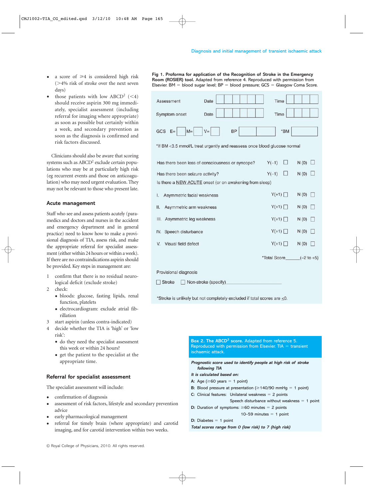- a score of  $\geq 4$  is considered high risk  $(>4\%$  risk of stroke over the next seven days)
- those patients with low ABCD<sup>2</sup>  $(< 4)$ should receive aspirin 300 mg immediately, specialist assessment (including referral for imaging where appropriate) as soon as possible but certainly within a week, and secondary prevention as soon as the diagnosis is confirmed and risk factors discussed.

Clinicians should also be aware that scoring systems such as ABCD<sup>2</sup> exclude certain populations who may be at particularly high risk (eg recurrent events and those on anticoagulation) who may need urgent evaluation. They may not be relevant to those who present late.

#### **Acute management**

Staff who see and assess patients acutely (paramedics and doctors and nurses in the accident and emergency department and in general practice) need to know how to make a provisional diagnosis of TIA, assess risk, and make the appropriate referral for specialist assessment (either within 24 hours or within a week). If there are no contraindications aspirin should be provided. Key steps in management are:

- 1 confirm that there is no residual neurological deficit (exclude stroke)
- 2 check:
	- bloods: glucose, fasting lipids, renal function, platelets
	- electrocardiogram: exclude atrial fibrillation
- 3 start aspirin (unless contra-indicated)
- 4 decide whether the TIA is 'high' or 'low risk':
	- do they need the specialist assessment this week or within 24 hours?
	- get the patient to the specialist at the appropriate time.

#### **Referral for specialist assessment**

The specialist assessment will include:

- confirmation of diagnosis
- assessment of risk factors, lifestyle and secondary prevention advice
- early pharmacological management
- referral for timely brain (where appropriate) and carotid imaging, and for carotid intervention within two weeks.

| Assessment                                                               | Date                                             | Time         |              |
|--------------------------------------------------------------------------|--------------------------------------------------|--------------|--------------|
| Symptom onset                                                            | Date                                             | Time         |              |
| GCS<br>$M=$<br>$E=$                                                      | $V =$<br><b>BP</b>                               | $*$ BM       |              |
| *If BM <3.5 mmol/L treat urgently and reassess once blood glucose normal |                                                  |              |              |
|                                                                          | Has there been loss of consciousness or syncope? | $Y(-1)$      | N(0)         |
| Has there been seizure activity?                                         |                                                  | $Y(-1)$      | N(0)         |
| Is there a NEW ACUTE onset (or on awakening from sleep)                  |                                                  |              |              |
| Asymmetric facial weakness<br>Ι.                                         |                                                  | $Y(+1)$      | N(0)         |
| II.<br>Asymmetric arm weakness                                           |                                                  | $Y(+1)$      | N(0)         |
| Ш.<br>Asymmetric leg weakness                                            |                                                  | $Y(+1)$      | N(0)         |
| Speech disturbance<br>IV.                                                |                                                  | $Y(+1)$      | N(0)         |
| Visual field defect<br>V.                                                |                                                  | $Y(+1)$      | N(0)         |
|                                                                          |                                                  | *Total Score | $(-2 to +5)$ |
| Provisional diagnosis                                                    |                                                  |              |              |
| <b>Stroke</b><br>Non-stroke (specify)                                    |                                                  |              |              |
| *Stroke is unlikely but not completely excluded if total scores are <0.  |                                                  |              |              |

**Box 2. The ABCD2 score.** Adapted from reference 5. Reproduced with permission from Elsevier.  $TIA =$  transient ischaemic attack.

**Prognostic score used to identify people at high risk of stroke following TIA**

- **It is calculated based on:**
- A: Age  $(\geq 60 \text{ years} = 1 \text{ point})$
- **B:** Blood pressure at presentation ( $\geq$  140/90 mmHg = 1 point)
- **C:** Clinical features: Unilateral weakness = 2 points
- Speech disturbance without weakness  $= 1$  point
- **D:** Duration of symptoms:  $\geq 60$  minutes = 2 points
	- $10-59$  minutes  $= 1$  point

 $D:$  Diabetes  $= 1$  point

**Total scores range from 0 (low risk) to 7 (high risk)**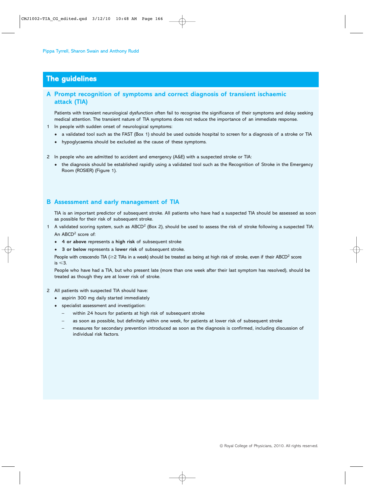## **The guidelines**

### **A Prompt recognition of symptoms and correct diagnosis of transient ischaemic attack (TIA)**

Patients with transient neurological dysfunction often fail to recognise the significance of their symptoms and delay seeking medical attention. The transient nature of TIA symptoms does not reduce the importance of an immediate response.

- 1 In people with sudden onset of neurological symptoms:
	- a validated tool such as the FAST (Box 1) should be used outside hospital to screen for a diagnosis of a stroke or TIA
	- hypoglycaemia should be excluded as the cause of these symptoms.
- 2 In people who are admitted to accident and emergency (A&E) with a suspected stroke or TIA:
	- the diagnosis should be established rapidly using a validated tool such as the Recognition of Stroke in the Emergency Room (ROSIER) (Figure 1).

#### **B Assessment and early management of TIA**

TIA is an important predictor of subsequent stroke. All patients who have had a suspected TIA should be assessed as soon as possible for their risk of subsequent stroke.

- 1 A validated scoring system, such as ABCD<sup>2</sup> (Box 2), should be used to assess the risk of stroke following a suspected TIA: An  $ABCD<sup>2</sup>$  score of:
	- **4 or above** represents a **high risk** of subsequent stroke
	- **3 or below** represents a **lower risk** of subsequent stroke.

People with crescendo TIA ( $\geq$ 2 TIAs in a week) should be treated as being at high risk of stroke, even if their ABCD<sup>2</sup> score is  $\leq 3$ .

People who have had a TIA, but who present late (more than one week after their last symptom has resolved), should be treated as though they are at lower risk of stroke.

- 2 All patients with suspected TIA should have:
	- aspirin 300 mg daily started immediately
	- specialist assessment and investigation:
		- within 24 hours for patients at high risk of subsequent stroke
		- as soon as possible, but definitely within one week, for patients at lower risk of subsequent stroke
		- measures for secondary prevention introduced as soon as the diagnosis is confirmed, including discussion of individual risk factors.